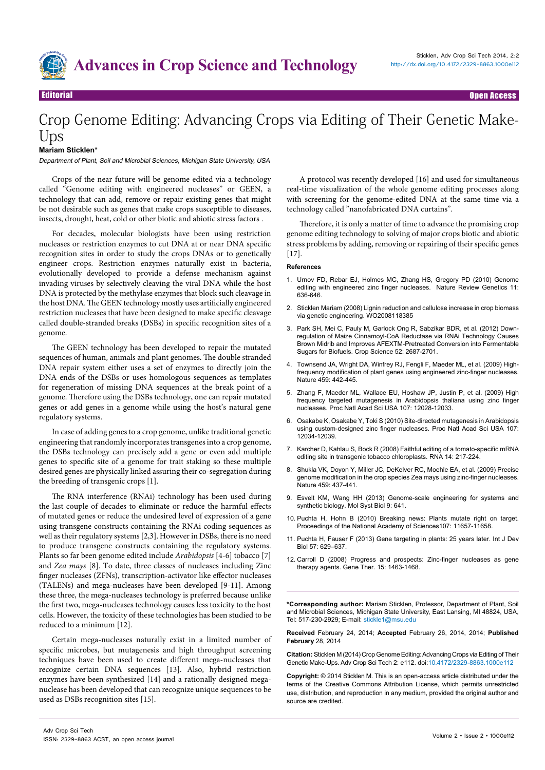

Research Article Open Access Editorial Open Access

# Crop Genome Editing: Advancing Crops via Editing of Their Genetic Make-Ups

### **Mariam Sticklen\***

Department of Plant, Soil and Microbial Sciences, Michigan State University, USA

Crops of the near future will be genome edited via a technology called "Genome editing with engineered nucleases" or GEEN, a technology that can add, remove or repair existing genes that might be not desirable such as genes that make crops susceptible to diseases, insects, drought, heat, cold or other biotic and abiotic stress factors .

For decades, molecular biologists have been using restriction nucleases or restriction enzymes to cut DNA at or near DNA specific recognition sites in order to study the crops DNAs or to genetically engineer crops. Restriction enzymes naturally exist in bacteria, evolutionally developed to provide a defense mechanism against invading viruses by selectively cleaving the viral DNA while the host DNA is protected by the methylase enzymes that block such cleavage in the host DNA. The GEEN technology mostly uses artificially engineered restriction nucleases that have been designed to make specific cleavage called double-stranded breaks (DSBs) in specific recognition sites of a genome.

The GEEN technology has been developed to repair the mutated sequences of human, animals and plant genomes. The double stranded DNA repair system either uses a set of enzymes to directly join the DNA ends of the DSBs or uses homologous sequences as templates for regeneration of missing DNA sequences at the break point of a genome. Therefore using the DSBs technology, one can repair mutated genes or add genes in a genome while using the host's natural gene regulatory systems.

In case of adding genes to a crop genome, unlike traditional genetic engineering that randomly incorporates transgenes into a crop genome, the DSBs technology can precisely add a gene or even add multiple genes to specific site of a genome for trait staking so these multiple desired genes are physically linked assuring their co-segregation during the breeding of transgenic crops [1].

The RNA interference (RNAi) technology has been used during the last couple of decades to eliminate or reduce the harmful effects of mutated genes or reduce the undesired level of expression of a gene using transgene constructs containing the RNAi coding sequences as well as their regulatory systems [2,3]. However in DSBs, there is no need to produce transgene constructs containing the regulatory systems. Plants so far been genome edited include *Arabidopsis* [4-6] tobacco [7] and *Zea mays* [8]. To date, three classes of nucleases including Zinc finger nucleases (ZFNs), transcription-activator like effector nucleases (TALENs) and mega-nucleases have been developed [9-11]. Among these three, the mega-nucleases technology is preferred because unlike the first two, mega-nucleases technology causes less toxicity to the host cells. However, the toxicity of these technologies has been studied to be reduced to a minimum [12].

Certain mega-nucleases naturally exist in a limited number of specific microbes, but mutagenesis and high throughput screening techniques have been used to create different mega-nucleases that recognize certain DNA sequences [13]. Also, hybrid restriction enzymes have been synthesized [14] and a rationally designed meganuclease has been developed that can recognize unique sequences to be used as DSBs recognition sites [15].

A protocol was recently developed [16] and used for simultaneous real-time visualization of the whole genome editing processes along with screening for the genome-edited DNA at the same time via a technology called "nanofabricated DNA curtains".

Therefore, it is only a matter of time to advance the promising crop genome editing technology to solving of major crops biotic and abiotic stress problems by adding, removing or repairing of their specific genes [17].

#### **References**

- 1. [Urnov FD, Rebar EJ, Holmes MC, Zhang HS, Gregory PD \(2010\) Genome](http://www.nature.com/nrg/journal/v11/n9/full/nrg2842.html)  [editing with engineered zinc finger nucleases. Nature Review Genetics 11:](http://www.nature.com/nrg/journal/v11/n9/full/nrg2842.html)  [636-646.](http://www.nature.com/nrg/journal/v11/n9/full/nrg2842.html)
- 2. [Sticklen Mariam \(2008\) Lignin reduction and cellulose increase in crop biomass](http://www.google.com/patents/US20080235820)  [via genetic engineering. WO2008118385](http://www.google.com/patents/US20080235820)
- 3. [Park SH, Mei C, Pauly M, Garlock Ong R, Sabzikar BDR, et al. \(2012\) Down](https://www.crops.org/publications/cs/abstracts/52/6/2687?search-result=1)[regulation of Maize Cinnamoyl-CoA Reductase via RNAi Technology Causes](https://www.crops.org/publications/cs/abstracts/52/6/2687?search-result=1)  [Brown Midrib and Improves AFEXTM-Pretreated Conversion into Fermentable](https://www.crops.org/publications/cs/abstracts/52/6/2687?search-result=1)  [Sugars for Biofuels. Crop Science 52: 2687-2701.](https://www.crops.org/publications/cs/abstracts/52/6/2687?search-result=1)
- 4. [Townsend JA, Wright DA, Winfrey RJ, Fengli F, Maeder ML, et al. \(2009\) High](http://www.nature.com/nature/journal/v459/n7245/full/nature07845.html)[frequency modification of plant genes using engineered zinc-finger nucleases.](http://www.nature.com/nature/journal/v459/n7245/full/nature07845.html)  [Nature 459: 442-445.](http://www.nature.com/nature/journal/v459/n7245/full/nature07845.html)
- 5. [Zhang F, Maeder ML, Wallace EU, Hoshaw JP, Justin P, et al. \(2009\) High](http://www.ncbi.nlm.nih.gov/pubmed/20508152)  [frequency targeted mutagenesis in Arabidopsis thaliana using zinc finger](http://www.ncbi.nlm.nih.gov/pubmed/20508152)  [nucleases. Proc Natl Acad Sci USA 107: 12028-12033.](http://www.ncbi.nlm.nih.gov/pubmed/20508152)
- 6. [Osakabe K, Osakabe Y, Toki S \(2010\) Site-directed mutagenesis in Arabidopsis](http://www.pnas.org/content/early/2010/05/26/1000234107)  [using custom-designed zinc finger nucleases. Proc Natl Acad Sci USA 107:](http://www.pnas.org/content/early/2010/05/26/1000234107)  [12034-12039.](http://www.pnas.org/content/early/2010/05/26/1000234107)
- 7. [Karcher D, Kahlau S, Bock R \(2008\) Faithful editing of a tomato-specific mRNA](http://www.ncbi.nlm.nih.gov/pubmed/18065714)  [editing site in transgenic tobacco chloroplasts. RNA 14: 217-224.](http://www.ncbi.nlm.nih.gov/pubmed/18065714)
- 8. [Shukla VK, Doyon Y, Miller JC, DeKelver RC, Moehle EA, et al. \(2009\) Precise](http://www.nature.com/nature/journal/v459/n7245/full/nature07992.html)  [genome modification in the crop species Zea mays using zinc-finger nucleases.](http://www.nature.com/nature/journal/v459/n7245/full/nature07992.html)  [Nature 459: 437-441.](http://www.nature.com/nature/journal/v459/n7245/full/nature07992.html)
- 9. [Esvelt KM, Wang HH \(2013\) Genome-scale engineering for systems and](http://www.ncbi.nlm.nih.gov/pubmed/23340847)  [synthetic biology. Mol Syst Biol 9: 641.](http://www.ncbi.nlm.nih.gov/pubmed/23340847)
- 10. [Puchta H, Hohn B \(2010\) Breaking news: Plants mutate right on target.](http://www.pnas.org/content/107/26/11657.full)  [Proceedings of the National Academy of Sciences107: 11657-11658.](http://www.pnas.org/content/107/26/11657.full)
- 11. [Puchta H, Fauser F \(2013\) Gene targeting in plants: 25 years later. Int J Dev](http://www.botanik.kit.edu/molbio/download/Puchta_and_Fauser_%282013%29_IJDB.pdf)  [Biol 57: 629–637.](http://www.botanik.kit.edu/molbio/download/Puchta_and_Fauser_%282013%29_IJDB.pdf)
- 12. [Carroll D \(2008\) Progress and prospects: Zinc-finger nucleases as gene](http://www.ncbi.nlm.nih.gov/pubmed/18784746)  [therapy agents. Gene Ther. 15: 1463-1468.](http://www.ncbi.nlm.nih.gov/pubmed/18784746)

**\*Corresponding author:** Mariam Sticklen, Professor, Department of Plant, Soil and Microbial Sciences, Michigan State University, East Lansing, MI 48824, USA, Tel: 517-230-2929; E-mail: stickle1@msu.edu

**Received** February 24, 2014; **Accepted** February 26, 2014, 2014; **Published February** 28, 2014

**Citation:** Sticklen M (2014) Crop Genome Editing: Advancing Crops via Editing of Their Genetic Make-Ups. Adv Crop Sci Tech 2: e112. doi:[10.4172/2329-8863](http://dx.doi.org/10.4172/2329-8863.1000e112).1000e112

**Copyright:** © 2014 Sticklen M. This is an open-access article distributed under the terms of the Creative Commons Attribution License, which permits unrestricted use, distribution, and reproduction in any medium, provided the original author and source are credited.